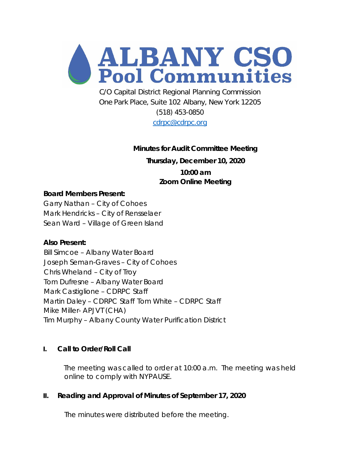

C/O Capital District Regional Planning Commission One Park Place, Suite 102 Albany, New York 12205 (518) 453-0850

[cdrpc@cdrpc.org](mailto:cdrpc@cdrpc.org)

# **Minutes for Audit Committee Meeting**

**Thursday, December 10, 2020**

**10:00 am Zoom Online Meeting**

#### **Board Members Present:**

Garry Nathan – City of Cohoes Mark Hendricks – City of Rensselaer Sean Ward – Village of Green Island

#### **Also Present:**

Bill Simcoe – Albany Water Board Joseph Seman-Graves – City of Cohoes Chris Wheland – City of Troy Tom Dufresne – Albany Water Board Mark Castiglione – CDRPC Staff Martin Daley – CDRPC Staff Tom White – CDRPC Staff Mike Miller- APJVT (CHA) Tim Murphy – Albany County Water Purification District

#### **I. Call to Order/Roll Call**

The meeting was called to order at 10:00 a.m. The meeting was held online to comply with NYPAUSE.

#### **II. Reading and Approval of Minutes of September 17, 2020**

The minutes were distributed before the meeting.